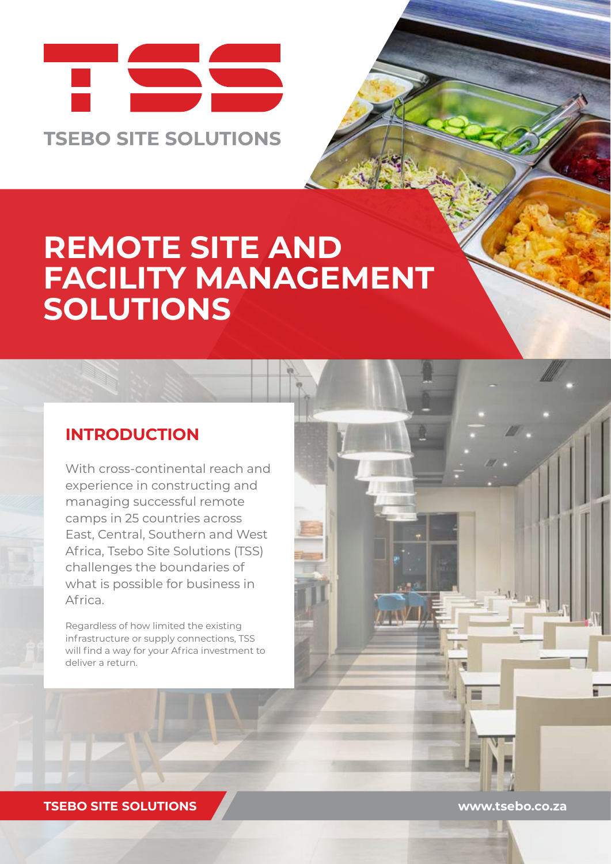

# **REMOTE SITE AND FACILITY MANAGEMENT SOLUTIONS**

#### **INTRODUCTION**

With cross-continental reach and experience in constructing and managing successful remote camps in 25 countries across East, Central, Southern and West Africa, Tsebo Site Solutions (TSS) challenges the boundaries of what is possible for business in Africa.

Regardless of how limited the existing infrastructure or supply connections, TSS will find a way for your Africa investment to deliver a return.

**TSEBO SITE SOLUTIONS www.tsebo.co.za**